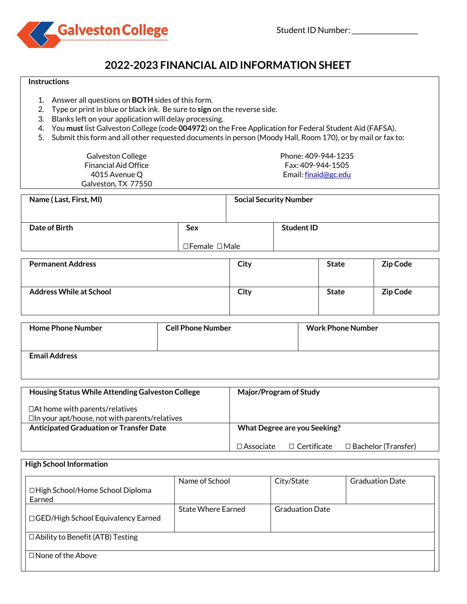

# **2022-2023 FINANCIAL AID INFORMATION SHEET**

#### **Instructions**

- 1. Answer all questions on **BOTH** sides of this form.
- 2. Type or print in blue or black ink. Be sure to **sign** on the reverse side.
- 3. Blanks left on your application will delay processing.
- 4. You **must** list Galveston College (code **004972**) on the Free Application for Federal Student Aid (FAFSA).
- 5. Submit this form and all other requested documents in person (Moody Hall, Room 170), or by mail or fax to:

Galveston College Financial Aid Office 4015 Avenue Q Galveston, TX 77550 Phone: 409-944-1235 Fax: 409-944-1505 Email[: finaid@gc.edu](mailto:finaid@gc.edu)

| Name (Last, First, MI) |                                 | <b>Social Security Number</b> |  |
|------------------------|---------------------------------|-------------------------------|--|
| Date of Birth          | <b>Sex</b>                      | <b>Student ID</b>             |  |
|                        | $\square$ Female $\square$ Male |                               |  |

| <b>Permanent Address</b>       | City | <b>State</b> | Zip Code        |
|--------------------------------|------|--------------|-----------------|
| <b>Address While at School</b> | City | <b>State</b> | <b>Zip Code</b> |

| <b>Home Phone Number</b> | <b>Cell Phone Number</b> | <b>Work Phone Number</b> |
|--------------------------|--------------------------|--------------------------|
| <b>Email Address</b>     |                          |                          |

| Housing Status While Attending Galveston College                                              | Major/Program of Study                                                 |  |
|-----------------------------------------------------------------------------------------------|------------------------------------------------------------------------|--|
| $\Box$ At home with parents/relatives<br>$\Box$ In your apt/house, not with parents/relatives |                                                                        |  |
| <b>Anticipated Graduation or Transfer Date</b>                                                | What Degree are you Seeking?                                           |  |
|                                                                                               | $\Box$ Bachelor (Transfer)<br>$\Box$ Associate .<br>$\Box$ Certificate |  |

| □ High School/Home School Diploma<br>Earned | Name of School            | City/State             | <b>Graduation Date</b> |
|---------------------------------------------|---------------------------|------------------------|------------------------|
| □ GED/High School Equivalency Earned        | <b>State Where Earned</b> | <b>Graduation Date</b> |                        |
| □ Ability to Benefit (ATB) Testing          |                           |                        |                        |
| $\Box$ None of the Above                    |                           |                        |                        |